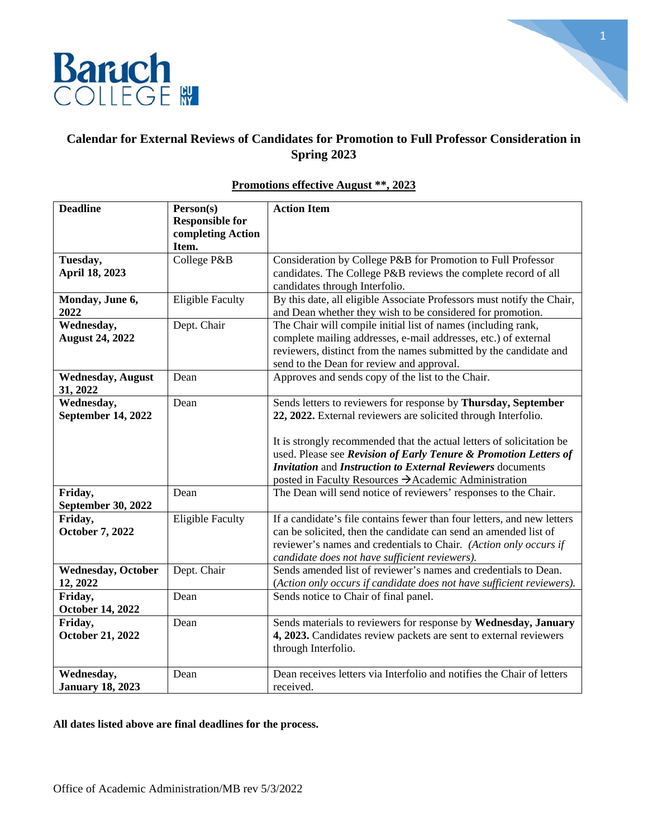

1

# **Calendar for External Reviews of Candidates for Promotion to Full Professor Consideration in Spring 2023**

| <b>Deadline</b>            | Person(s)               | <b>Action Item</b>                                                      |
|----------------------------|-------------------------|-------------------------------------------------------------------------|
|                            | <b>Responsible for</b>  |                                                                         |
|                            | completing Action       |                                                                         |
|                            | Item.                   |                                                                         |
| Tuesday,                   | College P&B             | Consideration by College P&B for Promotion to Full Professor            |
| April 18, 2023             |                         | candidates. The College P&B reviews the complete record of all          |
|                            |                         | candidates through Interfolio.                                          |
| Monday, June 6,            | <b>Eligible Faculty</b> | By this date, all eligible Associate Professors must notify the Chair,  |
| 2022                       |                         | and Dean whether they wish to be considered for promotion.              |
| Wednesday,                 | Dept. Chair             | The Chair will compile initial list of names (including rank,           |
| <b>August 24, 2022</b>     |                         | complete mailing addresses, e-mail addresses, etc.) of external         |
|                            |                         | reviewers, distinct from the names submitted by the candidate and       |
|                            |                         | send to the Dean for review and approval.                               |
| <b>Wednesday, August</b>   | Dean                    | Approves and sends copy of the list to the Chair.                       |
| 31, 2022                   |                         |                                                                         |
| Wednesday,                 | Dean                    | Sends letters to reviewers for response by Thursday, September          |
| September 14, 2022         |                         | 22, 2022. External reviewers are solicited through Interfolio.          |
|                            |                         |                                                                         |
|                            |                         | It is strongly recommended that the actual letters of solicitation be   |
|                            |                         | used. Please see Revision of Early Tenure & Promotion Letters of        |
|                            |                         | <b>Invitation and Instruction to External Reviewers documents</b>       |
|                            |                         | posted in Faculty Resources → Academic Administration                   |
| Friday,                    | Dean                    | The Dean will send notice of reviewers' responses to the Chair.         |
| September 30, 2022         |                         |                                                                         |
| Friday,                    | <b>Eligible Faculty</b> | If a candidate's file contains fewer than four letters, and new letters |
| <b>October 7, 2022</b>     |                         | can be solicited, then the candidate can send an amended list of        |
|                            |                         | reviewer's names and credentials to Chair. (Action only occurs if       |
|                            |                         | candidate does not have sufficient reviewers).                          |
| <b>Wednesday</b> , October | Dept. Chair             | Sends amended list of reviewer's names and credentials to Dean.         |
| 12, 2022                   |                         | (Action only occurs if candidate does not have sufficient reviewers).   |
| Friday,                    | Dean                    | Sends notice to Chair of final panel.                                   |
| <b>October 14, 2022</b>    |                         |                                                                         |
| Friday,                    | Dean                    | Sends materials to reviewers for response by Wednesday, January         |
| <b>October 21, 2022</b>    |                         | 4, 2023. Candidates review packets are sent to external reviewers       |
|                            |                         | through Interfolio.                                                     |
|                            |                         |                                                                         |
| Wednesday,                 | Dean                    | Dean receives letters via Interfolio and notifies the Chair of letters  |
| <b>January 18, 2023</b>    |                         | received.                                                               |

## **Promotions effective August \*\*, 2023**

**All dates listed above are final deadlines for the process.**